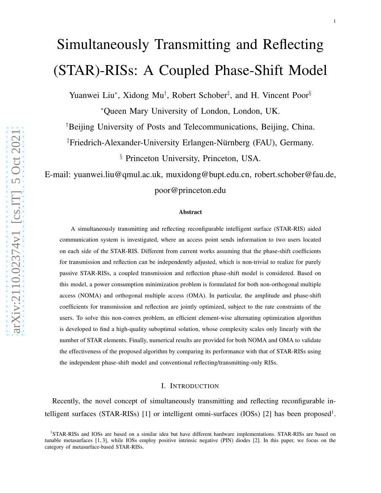# Simultaneously Transmitting and Reflecting (STAR)-RISs: A Coupled Phase-Shift Model

Yuanwei Liu<sup>∗</sup>, Xidong Mu<sup>†</sup>, Robert Schober<sup>‡</sup>, and H. Vincent Poor<sup>§</sup>

<sup>∗</sup>Queen Mary University of London, London, UK.

†Beijing University of Posts and Telecommunications, Beijing, China.

‡Friedrich-Alexander-University Erlangen-Nurnberg (FAU), Germany. ¨

§ Princeton University, Princeton, USA.

E-mail: yuanwei.liu@qmul.ac.uk, muxidong@bupt.edu.cn, robert.schober@fau.de, poor@princeton.edu

#### Abstract

A simultaneously transmitting and reflecting reconfigurable intelligent surface (STAR-RIS) aided communication system is investigated, where an access point sends information to two users located on each side of the STAR-RIS. Different from current works assuming that the phase-shift coefficients for transmission and reflection can be independently adjusted, which is non-trivial to realize for purely passive STAR-RISs, a coupled transmission and reflection phase-shift model is considered. Based on this model, a power consumption minimization problem is formulated for both non-orthogonal multiple access (NOMA) and orthogonal multiple access (OMA). In particular, the amplitude and phase-shift coefficients for transmission and reflection are jointly optimized, subject to the rate constraints of the users. To solve this non-convex problem, an efficient element-wise alternating optimization algorithm is developed to find a high-quality suboptimal solution, whose complexity scales only linearly with the number of STAR elements. Finally, numerical results are provided for both NOMA and OMA to validate the effectiveness of the proposed algorithm by comparing its performance with that of STAR-RISs using the independent phase-shift model and conventional reflecting/transmitting-only RISs.

#### I. INTRODUCTION

Recently, the novel concept of simultaneously transmitting and reflecting reconfigurable intelligent surfaces (STAR-RISs) [1] or intelligent omni-surfaces (IOSs) [2] has been proposed<sup>1</sup>.

<sup>&</sup>lt;sup>1</sup>STAR-RISs and IOSs are based on a similar idea but have different hardware implementations. STAR-RISs are based on tunable metasurfaces [1, 3], while IOSs employ positive intrinsic negative (PIN) diodes [2]. In this paper, we focus on the category of metasurface-based STAR-RISs.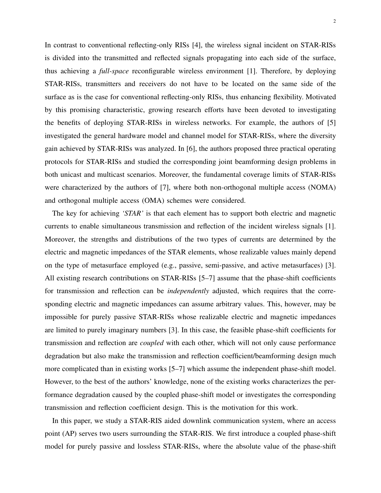In contrast to conventional reflecting-only RISs [4], the wireless signal incident on STAR-RISs is divided into the transmitted and reflected signals propagating into each side of the surface, thus achieving a *full-space* reconfigurable wireless environment [1]. Therefore, by deploying STAR-RISs, transmitters and receivers do not have to be located on the same side of the surface as is the case for conventional reflecting-only RISs, thus enhancing flexibility. Motivated by this promising characteristic, growing research efforts have been devoted to investigating the benefits of deploying STAR-RISs in wireless networks. For example, the authors of [5] investigated the general hardware model and channel model for STAR-RISs, where the diversity gain achieved by STAR-RISs was analyzed. In [6], the authors proposed three practical operating protocols for STAR-RISs and studied the corresponding joint beamforming design problems in both unicast and multicast scenarios. Moreover, the fundamental coverage limits of STAR-RISs were characterized by the authors of [7], where both non-orthogonal multiple access (NOMA) and orthogonal multiple access (OMA) schemes were considered.

The key for achieving *'STAR'* is that each element has to support both electric and magnetic currents to enable simultaneous transmission and reflection of the incident wireless signals [1]. Moreover, the strengths and distributions of the two types of currents are determined by the electric and magnetic impedances of the STAR elements, whose realizable values mainly depend on the type of metasurface employed (e.g., passive, semi-passive, and active metasurfaces) [3]. All existing research contributions on STAR-RISs [5–7] assume that the phase-shift coefficients for transmission and reflection can be *independently* adjusted, which requires that the corresponding electric and magnetic impedances can assume arbitrary values. This, however, may be impossible for purely passive STAR-RISs whose realizable electric and magnetic impedances are limited to purely imaginary numbers [3]. In this case, the feasible phase-shift coefficients for transmission and reflection are *coupled* with each other, which will not only cause performance degradation but also make the transmission and reflection coefficient/beamforming design much more complicated than in existing works [5–7] which assume the independent phase-shift model. However, to the best of the authors' knowledge, none of the existing works characterizes the performance degradation caused by the coupled phase-shift model or investigates the corresponding transmission and reflection coefficient design. This is the motivation for this work.

In this paper, we study a STAR-RIS aided downlink communication system, where an access point (AP) serves two users surrounding the STAR-RIS. We first introduce a coupled phase-shift model for purely passive and lossless STAR-RISs, where the absolute value of the phase-shift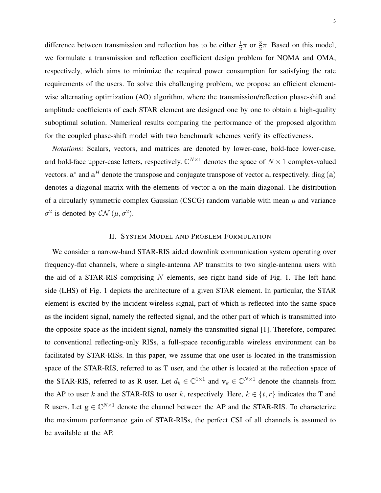difference between transmission and reflection has to be either  $\frac{1}{2}\pi$  or  $\frac{3}{2}\pi$ . Based on this model, we formulate a transmission and reflection coefficient design problem for NOMA and OMA, respectively, which aims to minimize the required power consumption for satisfying the rate requirements of the users. To solve this challenging problem, we propose an efficient elementwise alternating optimization (AO) algorithm, where the transmission/reflection phase-shift and amplitude coefficients of each STAR element are designed one by one to obtain a high-quality suboptimal solution. Numerical results comparing the performance of the proposed algorithm for the coupled phase-shift model with two benchmark schemes verify its effectiveness.

*Notations:* Scalars, vectors, and matrices are denoted by lower-case, bold-face lower-case, and bold-face upper-case letters, respectively.  $\mathbb{C}^{N\times 1}$  denotes the space of  $N\times 1$  complex-valued vectors.  $\mathbf{a}^*$  and  $\mathbf{a}^H$  denote the transpose and conjugate transpose of vector  $\mathbf{a}$ , respectively. diag  $(\mathbf{a})$ denotes a diagonal matrix with the elements of vector a on the main diagonal. The distribution of a circularly symmetric complex Gaussian (CSCG) random variable with mean  $\mu$  and variance  $\sigma^2$  is denoted by  $\mathcal{CN}(\mu, \sigma^2)$ .

### II. SYSTEM MODEL AND PROBLEM FORMULATION

We consider a narrow-band STAR-RIS aided downlink communication system operating over frequency-flat channels, where a single-antenna AP transmits to two single-antenna users with the aid of a STAR-RIS comprising  $N$  elements, see right hand side of Fig. 1. The left hand side (LHS) of Fig. 1 depicts the architecture of a given STAR element. In particular, the STAR element is excited by the incident wireless signal, part of which is reflected into the same space as the incident signal, namely the reflected signal, and the other part of which is transmitted into the opposite space as the incident signal, namely the transmitted signal [1]. Therefore, compared to conventional reflecting-only RISs, a full-space reconfigurable wireless environment can be facilitated by STAR-RISs. In this paper, we assume that one user is located in the transmission space of the STAR-RIS, referred to as T user, and the other is located at the reflection space of the STAR-RIS, referred to as R user. Let  $d_k \in \mathbb{C}^{1 \times 1}$  and  $\mathbf{v}_k \in \mathbb{C}^{N \times 1}$  denote the channels from the AP to user k and the STAR-RIS to user k, respectively. Here,  $k \in \{t, r\}$  indicates the T and R users. Let  $g \in \mathbb{C}^{N \times 1}$  denote the channel between the AP and the STAR-RIS. To characterize the maximum performance gain of STAR-RISs, the perfect CSI of all channels is assumed to be available at the AP.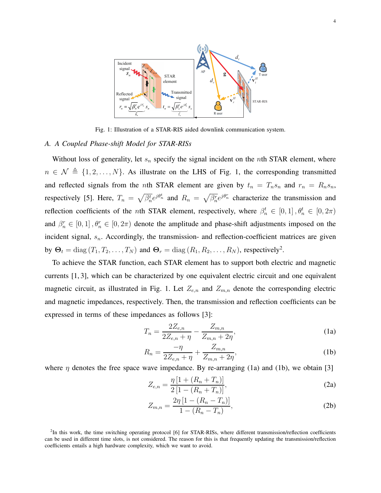

Fig. 1: Illustration of a STAR-RIS aided downlink communication system.

### *A. A Coupled Phase-shift Model for STAR-RISs*

Without loss of generality, let  $s_n$  specify the signal incident on the *n*th STAR element, where  $n \in \mathcal{N} \triangleq \{1, 2, \ldots, N\}$ . As illustrate on the LHS of Fig. 1, the corresponding transmitted and reflected signals from the nth STAR element are given by  $t_n = T_n s_n$  and  $r_n = R_n s_n$ , respectively [5]. Here,  $T_n = \sqrt{\beta_n^t} e^{j\theta_n^t}$  and  $R_n = \sqrt{\beta_n^r} e^{j\theta_n^r}$  characterize the transmission and reflection coefficients of the *n*th STAR element, respectively, where  $\beta_n^t \in [0,1]$ ,  $\theta_n^t \in [0,2\pi)$ and  $\beta_n^r \in [0,1]$ ,  $\theta_n^r \in [0,2\pi)$  denote the amplitude and phase-shift adjustments imposed on the incident signal,  $s_n$ . Accordingly, the transmission- and reflection-coefficient matrices are given by  $\Theta_t = \text{diag}(T_1, T_2, \dots, T_N)$  and  $\Theta_r = \text{diag}(R_1, R_2, \dots, R_N)$ , respectively<sup>2</sup>.

To achieve the STAR function, each STAR element has to support both electric and magnetic currents [1, 3], which can be characterized by one equivalent electric circuit and one equivalent magnetic circuit, as illustrated in Fig. 1. Let  $Z_{e,n}$  and  $Z_{m,n}$  denote the corresponding electric and magnetic impedances, respectively. Then, the transmission and reflection coefficients can be expressed in terms of these impedances as follows [3]:

$$
T_n = \frac{2Z_{e,n}}{2Z_{e,n} + \eta} - \frac{Z_{m,n}}{Z_{m,n} + 2\eta},
$$
\n(1a)

$$
R_n = \frac{-\eta}{2Z_{e,n} + \eta} + \frac{Z_{m,n}}{Z_{m,n} + 2\eta},
$$
 (1b)

where  $\eta$  denotes the free space wave impedance. By re-arranging (1a) and (1b), we obtain [3]

$$
Z_{e,n} = \frac{\eta \left[ 1 + (R_n + T_n) \right]}{2 \left[ 1 - (R_n + T_n) \right]},
$$
\n(2a)

$$
Z_{m,n} = \frac{2\eta \left[1 - (R_n - T_n)\right]}{1 - (R_n - T_n)},
$$
\n(2b)

<sup>&</sup>lt;sup>2</sup>In this work, the time switching operating protocol [6] for STAR-RISs, where different transmission/reflection coefficients can be used in different time slots, is not considered. The reason for this is that frequently updating the transmission/reflection coefficients entails a high hardware complexity, which we want to avoid.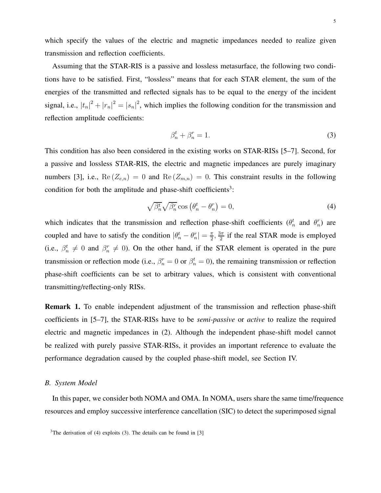which specify the values of the electric and magnetic impedances needed to realize given transmission and reflection coefficients.

Assuming that the STAR-RIS is a passive and lossless metasurface, the following two conditions have to be satisfied. First, "lossless" means that for each STAR element, the sum of the energies of the transmitted and reflected signals has to be equal to the energy of the incident signal, i.e.,  $|t_n|^2 + |r_n|^2 = |s_n|^2$ , which implies the following condition for the transmission and reflection amplitude coefficients:

$$
\beta_n^t + \beta_n^r = 1. \tag{3}
$$

This condition has also been considered in the existing works on STAR-RISs [5–7]. Second, for a passive and lossless STAR-RIS, the electric and magnetic impedances are purely imaginary numbers [3], i.e.,  $\text{Re}(Z_{e,n}) = 0$  and  $\text{Re}(Z_{m,n}) = 0$ . This constraint results in the following condition for both the amplitude and phase-shift coefficients<sup>3</sup>:

$$
\sqrt{\beta_n^t} \sqrt{\beta_n^r} \cos \left(\theta_n^t - \theta_n^r\right) = 0,\tag{4}
$$

which indicates that the transmission and reflection phase-shift coefficients  $(\theta_n^t$  and  $\theta_n^r)$  are coupled and have to satisfy the condition  $|\theta_n^t - \theta_n^r| = \frac{\pi}{2}$  $\frac{\pi}{2}, \frac{3\pi}{2}$  $\frac{2\pi}{2}$  if the real STAR mode is employed (i.e.,  $\beta_n^t \neq 0$  and  $\beta_n^r \neq 0$ ). On the other hand, if the STAR element is operated in the pure transmission or reflection mode (i.e.,  $\beta_n^r = 0$  or  $\beta_n^t = 0$ ), the remaining transmission or reflection phase-shift coefficients can be set to arbitrary values, which is consistent with conventional transmitting/reflecting-only RISs.

Remark 1. To enable independent adjustment of the transmission and reflection phase-shift coefficients in [5–7], the STAR-RISs have to be *semi-passive* or *active* to realize the required electric and magnetic impedances in (2). Although the independent phase-shift model cannot be realized with purely passive STAR-RISs, it provides an important reference to evaluate the performance degradation caused by the coupled phase-shift model, see Section IV.

## *B. System Model*

In this paper, we consider both NOMA and OMA. In NOMA, users share the same time/frequence resources and employ successive interference cancellation (SIC) to detect the superimposed signal

 $3$ The derivation of (4) exploits (3). The details can be found in [3]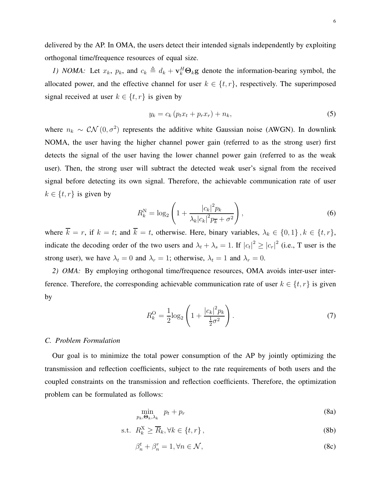delivered by the AP. In OMA, the users detect their intended signals independently by exploiting orthogonal time/frequence resources of equal size.

*1) NOMA:* Let  $x_k$ ,  $p_k$ , and  $c_k \triangleq d_k + \mathbf{v}_k^H \mathbf{\Theta}_k \mathbf{g}$  denote the information-bearing symbol, the allocated power, and the effective channel for user  $k \in \{t, r\}$ , respectively. The superimposed signal received at user  $k \in \{t, r\}$  is given by

$$
y_k = c_k \left( p_t x_t + p_r x_r \right) + n_k,\tag{5}
$$

where  $n_k \sim \mathcal{CN}(0, \sigma^2)$  represents the additive white Gaussian noise (AWGN). In downlink NOMA, the user having the higher channel power gain (referred to as the strong user) first detects the signal of the user having the lower channel power gain (referred to as the weak user). Then, the strong user will subtract the detected weak user's signal from the received signal before detecting its own signal. Therefore, the achievable communication rate of user  $k \in \{t, r\}$  is given by

$$
R_k^N = \log_2\left(1 + \frac{|c_k|^2 p_k}{\lambda_k |c_k|^2 p_{\overline{k}} + \sigma^2}\right),\tag{6}
$$

where  $\overline{k} = r$ , if  $k = t$ ; and  $\overline{k} = t$ , otherwise. Here, binary variables,  $\lambda_k \in \{0, 1\}$ ,  $k \in \{t, r\}$ , indicate the decoding order of the two users and  $\lambda_t + \lambda_s = 1$ . If  $|c_t|^2 \ge |c_r|^2$  (i.e., T user is the strong user), we have  $\lambda_t = 0$  and  $\lambda_r = 1$ ; otherwise,  $\lambda_t = 1$  and  $\lambda_r = 0$ .

*2) OMA:* By employing orthogonal time/frequence resources, OMA avoids inter-user interference. Therefore, the corresponding achievable communication rate of user  $k \in \{t, r\}$  is given by

$$
R_k^{\rm O} = \frac{1}{2} \log_2 \left( 1 + \frac{|c_k|^2 p_k}{\frac{1}{2} \sigma^2} \right). \tag{7}
$$

#### *C. Problem Formulation*

Our goal is to minimize the total power consumption of the AP by jointly optimizing the transmission and reflection coefficients, subject to the rate requirements of both users and the coupled constraints on the transmission and reflection coefficients. Therefore, the optimization problem can be formulated as follows:

$$
\min_{p_k, \Theta_k, \lambda_k} \quad p_t + p_r \tag{8a}
$$

$$
\text{s.t. } R_k^{\mathbf{X}} \ge \overline{R}_k, \forall k \in \{t, r\},\tag{8b}
$$

$$
\beta_n^t + \beta_n^r = 1, \forall n \in \mathcal{N},\tag{8c}
$$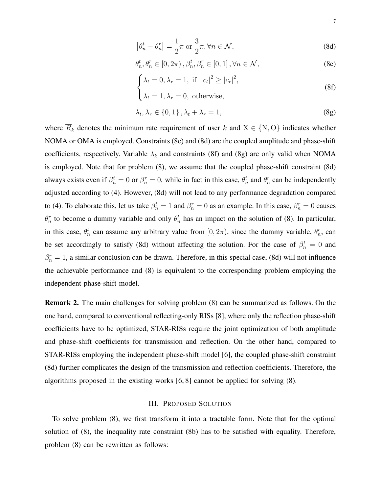$$
\left|\theta_n^t - \theta_n^r\right| = \frac{1}{2}\pi \text{ or } \frac{3}{2}\pi, \forall n \in \mathcal{N},\tag{8d}
$$

$$
\theta_n^t, \theta_n^r \in [0, 2\pi), \beta_n^t, \beta_n^r \in [0, 1], \forall n \in \mathcal{N},
$$
\n(8e)

$$
\begin{cases} \lambda_t = 0, \lambda_r = 1, \text{ if } |c_t|^2 \ge |c_r|^2, \\ \lambda_t = 0, \lambda_r = 0, \text{ otherwise.} \end{cases}
$$
 (8f)

$$
( \lambda_t = 1, \lambda_r = 0, \text{ otherwise},
$$

$$
\lambda_t, \lambda_r \in \{0, 1\}, \lambda_t + \lambda_r = 1,\tag{8g}
$$

where  $\overline{R}_k$  denotes the minimum rate requirement of user k and  $X \in \{N, O\}$  indicates whether NOMA or OMA is employed. Constraints (8c) and (8d) are the coupled amplitude and phase-shift coefficients, respectively. Variable  $\lambda_k$  and constraints (8f) and (8g) are only valid when NOMA is employed. Note that for problem (8), we assume that the coupled phase-shift constraint (8d) always exists even if  $\beta_n^t = 0$  or  $\beta_n^r = 0$ , while in fact in this case,  $\theta_n^t$  and  $\theta_n^r$  can be independently adjusted according to (4). However, (8d) will not lead to any performance degradation compared to (4). To elaborate this, let us take  $\beta_n^t = 1$  and  $\beta_n^r = 0$  as an example. In this case,  $\beta_n^r = 0$  causes  $\theta_n^r$  to become a dummy variable and only  $\theta_n^t$  has an impact on the solution of (8). In particular, in this case,  $\theta_n^t$  can assume any arbitrary value from  $[0, 2\pi)$ , since the dummy variable,  $\theta_n^r$ , can be set accordingly to satisfy (8d) without affecting the solution. For the case of  $\beta_n^t = 0$  and  $\beta_n^r = 1$ , a similar conclusion can be drawn. Therefore, in this special case, (8d) will not influence the achievable performance and (8) is equivalent to the corresponding problem employing the independent phase-shift model.

Remark 2. The main challenges for solving problem (8) can be summarized as follows. On the one hand, compared to conventional reflecting-only RISs [8], where only the reflection phase-shift coefficients have to be optimized, STAR-RISs require the joint optimization of both amplitude and phase-shift coefficients for transmission and reflection. On the other hand, compared to STAR-RISs employing the independent phase-shift model [6], the coupled phase-shift constraint (8d) further complicates the design of the transmission and reflection coefficients. Therefore, the algorithms proposed in the existing works [6, 8] cannot be applied for solving (8).

#### III. PROPOSED SOLUTION

To solve problem (8), we first transform it into a tractable form. Note that for the optimal solution of (8), the inequality rate constraint (8b) has to be satisfied with equality. Therefore, problem (8) can be rewritten as follows: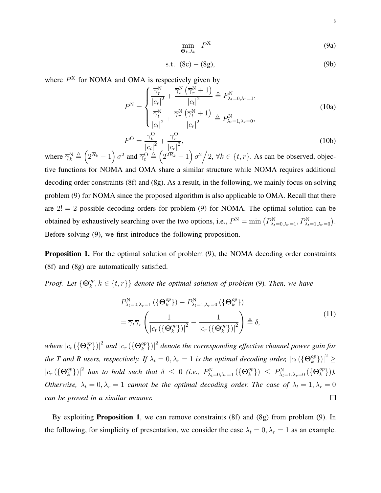$$
\min_{\mathbf{\Theta}_k, \lambda_k} \quad P^{\mathbf{X}} \tag{9a}
$$

s.t. 
$$
(8c) - (8g)
$$
,  $(9b)$ 

where  $P<sup>X</sup>$  for NOMA and OMA is respectively given by

$$
P^{\mathcal{N}} = \begin{cases} \frac{\overline{\gamma}_r^{\mathcal{N}}}{|c_r|^2} + \frac{\overline{\gamma}_t^{\mathcal{N}}(\overline{\gamma}_r^{\mathcal{N}} + 1)}{|c_t|^2} \triangleq P_{\lambda_t=0,\lambda_r=1}^{\mathcal{N}},\\ \frac{\overline{\gamma}_t^{\mathcal{N}}}{|c_t|^2} + \frac{\overline{\gamma}_r^{\mathcal{N}}(\overline{\gamma}_t^{\mathcal{N}} + 1)}{|c_r|^2} \triangleq P_{\lambda_t=1,\lambda_r=0}^{\mathcal{N}}, \end{cases}
$$
(10a)

$$
P^{\rm O} = \frac{\overline{\gamma}_t^{\rm O}}{|c_t|^2} + \frac{\overline{\gamma}_r^{\rm O}}{|c_r|^2},\tag{10b}
$$

where  $\overline{\gamma}_k^N \triangleq (2^{\overline{R}_k} - 1) \sigma^2$  and  $\overline{\gamma}_t^O \triangleq (2^{2\overline{R}_k} - 1) \sigma^2/2$ ,  $\forall k \in \{t, r\}$ . As can be observed, objective functions for NOMA and OMA share a similar structure while NOMA requires additional decoding order constraints (8f) and (8g). As a result, in the following, we mainly focus on solving problem (9) for NOMA since the proposed algorithm is also applicable to OMA. Recall that there are  $2! = 2$  possible decoding orders for problem (9) for NOMA. The optimal solution can be obtained by exhaustively searching over the two options, i.e.,  $P^N = \min \left( P^N_{\lambda_t=0,\lambda_r=1}, P^N_{\lambda_t=1,\lambda_r=0} \right)$ . Before solving (9), we first introduce the following proposition.

Proposition 1. For the optimal solution of problem (9), the NOMA decoding order constraints (8f) and (8g) are automatically satisfied.

*Proof.* Let  $\{\Theta_k^{op}\}$  $\{f_k^{op}, k \in \{t, r\}\}\$  denote the optimal solution of problem (9). Then, we have

$$
P_{\lambda_t=0,\lambda_r=1}^N \left( \left\{ \Theta_k^{op} \right\} \right) - P_{\lambda_t=1,\lambda_r=0}^N \left( \left\{ \Theta_k^{op} \right\} \right)
$$
  
= 
$$
\overline{\gamma}_t \overline{\gamma}_r \left( \frac{1}{\left| c_t \left( \left\{ \Theta_k^{op} \right\} \right) \right|^2} - \frac{1}{\left| c_r \left( \left\{ \Theta_k^{op} \right\} \right) \right|^2} \right) \triangleq \delta,
$$
 (11)

*where*  $|c_t$  ( $\{\mathbf{\Theta}_k^{op}\}$  $\binom{op}{k}$ ) $\mid^2$  and  $\mid$ c<sub>r</sub> ({ $\Theta_k^{op}$  $\binom{op}{k}$  $\left|\right|^2$  denote the corresponding effective channel power gain for *the T and R users, respectively. If*  $\lambda_t = 0, \lambda_r = 1$  *is the optimal decoding order,*  $|c_t|(\{\Theta_k^{op}\})$  $_{k}^{op}\}$ )|<sup>2</sup>  $\geq$  $\binom{op}{k}$ )|<sup>2</sup> has to hold such that  $\delta~\leq~0$  (i.e.,  $P^{\text{N}}_{\lambda_t=0,\lambda_r=1}$  ({ $\Theta_k^{op}$ )  $|c_r\left(\{\mathbf{\Theta}_k^{op}\right)$  $\{ \Theta_k^{op} \}$ )  $\leq P_{\lambda_t=1,\lambda_r=0}^N \left( \{ \Theta_k^{op} \} \right)$  $_{k}^{op}\}$ )). *Otherwise,*  $\lambda_t = 0$ ,  $\lambda_r = 1$  *cannot be the optimal decoding order. The case of*  $\lambda_t = 1$ ,  $\lambda_r = 0$  $\Box$ *can be proved in a similar manner.*

By exploiting Proposition 1, we can remove constraints (8f) and (8g) from problem (9). In the following, for simplicity of presentation, we consider the case  $\lambda_t = 0, \lambda_r = 1$  as an example.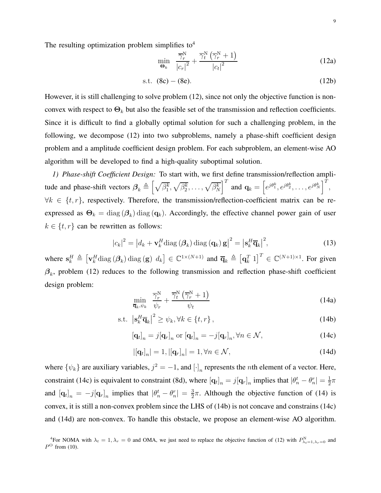The resulting optimization problem simplifies  $\text{to}^4$ 

$$
\min_{\mathbf{\Theta}_k} \quad \frac{\overline{\gamma}_r^N}{|c_r|^2} + \frac{\overline{\gamma}_t^N \left(\overline{\gamma}_r^N + 1\right)}{|c_t|^2} \tag{12a}
$$

s.t. 
$$
(8c) - (8e)
$$
. (12b)

However, it is still challenging to solve problem (12), since not only the objective function is nonconvex with respect to  $\Theta_k$  but also the feasible set of the transmission and reflection coefficients. Since it is difficult to find a globally optimal solution for such a challenging problem, in the following, we decompose (12) into two subproblems, namely a phase-shift coefficient design problem and a amplitude coefficient design problem. For each subproblem, an element-wise AO algorithm will be developed to find a high-quality suboptimal solution.

*1) Phase-shift Coefficient Design:* To start with, we first define transmission/reflection amplitude and phase-shift vectors  $\beta_k \triangleq \left[ \sqrt{\beta_1^k}, \sqrt{\beta_2^k}, \dots, \sqrt{\beta_N^k} \right]^T$  and  $\mathbf{q}_k = \left[ e^{j\theta_1^k}, e^{j\theta_2^k}, \dots, e^{j\theta_N^k} \right]^T$ ,  $\forall k \in \{t, r\}$ , respectively. Therefore, the transmission/reflection-coefficient matrix can be reexpressed as  $\Theta_k = \text{diag}(\beta_k) \text{diag}(\mathbf{q}_k)$ . Accordingly, the effective channel power gain of user  $k \in \{t, r\}$  can be rewritten as follows:

$$
|c_k|^2 = |d_k + \mathbf{v}_k^H \text{diag}(\boldsymbol{\beta}_k) \text{diag}(\mathbf{q}_k) \mathbf{g}|^2 = |\mathbf{s}_k^H \overline{\mathbf{q}}_k|^2, \tag{13}
$$

where  $\mathbf{s}_k^H \triangleq [\mathbf{v}_k^H \text{diag}(\boldsymbol{\beta}_k) \text{diag}(\mathbf{g}) \, d_k] \in \mathbb{C}^{1 \times (N+1)}$  and  $\overline{\mathbf{q}}_k \triangleq [\mathbf{q}_k^T \, 1]^T \in \mathbb{C}^{(N+1) \times 1}$ . For given  $\beta_k$ , problem (12) reduces to the following transmission and reflection phase-shift coefficient design problem:

$$
\min_{\overline{\mathbf{q}}_k, \psi_k} \quad \frac{\overline{\gamma}_r^N}{\psi_r} + \frac{\overline{\gamma}_t^N \left( \overline{\gamma}_r^N + 1 \right)}{\psi_t} \tag{14a}
$$

$$
\text{s.t. } \left| \mathbf{s}_k^H \overline{\mathbf{q}}_k \right|^2 \ge \psi_k, \forall k \in \{t, r\},\tag{14b}
$$

$$
[\mathbf{q}_t]_n = j[\mathbf{q}_r]_n \text{ or } [\mathbf{q}_t]_n = -j[\mathbf{q}_r]_n, \forall n \in \mathcal{N},
$$
\n(14c)

$$
|[\mathbf{q}_t]_n| = 1, |[\mathbf{q}_r]_n| = 1, \forall n \in \mathcal{N},
$$
\n(14d)

where  $\{\psi_k\}$  are auxiliary variables,  $j^2 = -1$ , and  $[\cdot]_n$  represents the *n*th element of a vector. Here, constraint (14c) is equivalent to constraint (8d), where  $[q_t]_n = j[q_r]_n$  implies that  $|\theta_n^t - \theta_n^r| = \frac{1}{2}$  $rac{1}{2}\pi$ and  $[\mathbf{q}_t]_n = -j[\mathbf{q}_r]_n$  implies that  $|\theta_n^t - \theta_n^r| = \frac{3}{2}$  $\frac{3}{2}\pi$ . Although the objective function of (14) is convex, it is still a non-convex problem since the LHS of (14b) is not concave and constrains (14c) and (14d) are non-convex. To handle this obstacle, we propose an element-wise AO algorithm.

<sup>&</sup>lt;sup>4</sup>For NOMA with  $\lambda_t = 1, \lambda_r = 0$  and OMA, we just need to replace the objective function of (12) with  $P^N_{\lambda_t=1,\lambda_r=0}$  and  $P^{\text{O}}$  from (10).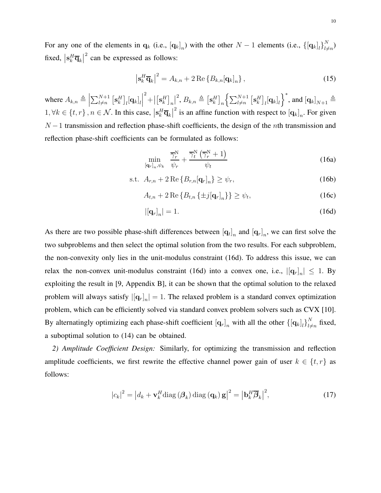For any one of the elements in  $\mathbf{q}_k$  (i.e.,  $[\mathbf{q}_k]_n$ ) with the other  $N-1$  elements (i.e.,  $\{[\mathbf{q}_k]_l\}_{l \neq n}^N$  $\binom{N}{l \neq n}$ fixed,  $|\mathbf{s}_k^H \overline{\mathbf{q}}_k|$  $2$  can be expressed as follows:

$$
\left|\mathbf{s}_{k}^{H}\overline{\mathbf{q}}_{k}\right|^{2} = A_{k,n} + 2 \operatorname{Re}\left\{B_{k,n}[\mathbf{q}_{k}]_{n}\right\},\tag{15}
$$

where  $A_{k,n} \triangleq \Big|$  $\sum_{l\neq n}^{N+1}\left[\mathbf{s}_k^H\right]_l\!\left[\mathbf{q}_k\right]_l\!\Big|$  $\mathbf{z}^2 + \left|\left[\mathbf{s}_k^H\right]_n\right|$  $\mathcal{L}^2$ ,  $B_{k,n} \triangleq \left[\mathbf{s}_k^H\right]_n \left\{\sum_{l \neq n}^{N+1} \left[\mathbf{s}_k^H\right]_l \left[\mathbf{q}_k\right]_l \right\}^*$ , and  $\left[\mathbf{q}_k\right]_{N+1} \triangleq$  $1, \forall k \in \{t, r\}, n \in \mathcal{N}$ . In this case,  $| \mathbf{s}_k^H \overline{\mathbf{q}}_k |$ <sup>2</sup> is an affine function with respect to  $[q_k]_n$ . For given  $N-1$  transmission and reflection phase-shift coefficients, the design of the *n*th transmission and reflection phase-shift coefficients can be formulated as follows:

$$
\min_{\left[\mathbf{q}_r\right]_n, \psi_k} \quad \frac{\overline{\gamma}_r^N}{\psi_r} + \frac{\overline{\gamma}_t^N \left(\overline{\gamma}_r^N + 1\right)}{\psi_t} \tag{16a}
$$

$$
\text{s.t. } A_{r,n} + 2 \operatorname{Re} \{ B_{r,n}[\mathbf{q}_r]_n \} \ge \psi_r,\tag{16b}
$$

$$
A_{t,n} + 2 \operatorname{Re} \{ B_{t,n} \{ \pm j[\mathbf{q}_r]_n \} \} \ge \psi_t,
$$
\n(16c)

$$
\left| \left[ \mathbf{q}_r \right]_n \right| = 1. \tag{16d}
$$

As there are two possible phase-shift differences between  $[q_t]_n$  and  $[q_r]_n$ , we can first solve the two subproblems and then select the optimal solution from the two results. For each subproblem, the non-convexity only lies in the unit-modulus constraint (16d). To address this issue, we can relax the non-convex unit-modulus constraint (16d) into a convex one, i.e.,  $|[\mathbf{q}_r]_n| \leq 1$ . By exploiting the result in [9, Appendix B], it can be shown that the optimal solution to the relaxed problem will always satisfy  $|[\mathbf{q}_r]_n| = 1$ . The relaxed problem is a standard convex optimization problem, which can be efficiently solved via standard convex problem solvers such as CVX [10]. By alternatingly optimizing each phase-shift coefficient  $[q_r]_n$  with all the other  $\{[q_k]_l\}_{l=1}^N$  $\prod_{l \neq n}^{N}$  fixed, a suboptimal solution to (14) can be obtained.

*2) Amplitude Coefficient Design:* Similarly, for optimizing the transmission and reflection amplitude coefficients, we first rewrite the effective channel power gain of user  $k \in \{t, r\}$  as follows:

$$
|c_k|^2 = |d_k + \mathbf{v}_k^H \text{diag}(\boldsymbol{\beta}_k) \text{diag}(\mathbf{q}_k) \mathbf{g}|^2 = |\mathbf{b}_k^H \overline{\boldsymbol{\beta}}_k|^2, \tag{17}
$$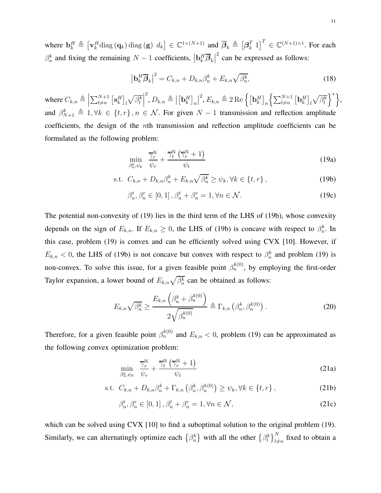where  $\mathbf{b}_k^H \triangleq [\mathbf{v}_k^H \text{diag}(\mathbf{q}_k) \text{diag}(\mathbf{g}) \, d_k] \in \mathbb{C}^{1 \times (N+1)}$  and  $\overline{\beta}_k \triangleq [\beta_k^T \, 1]^T \in \mathbb{C}^{(N+1) \times 1}$ . For each  $\beta_n^k$  and fixing the remaining  $N-1$  coefficients,  $|{\bf b}_k^H {\overline{\boldsymbol{\beta}}_k}|$  $2<sup>2</sup>$  can be expressed as follows:

$$
\left|\mathbf{b}_{k}^{H}\overline{\boldsymbol{\beta}}_{k}\right|^{2}=C_{k,n}+D_{k,n}\beta_{n}^{k}+E_{k,n}\sqrt{\beta_{n}^{k}},
$$
\n(18)

where  $C_{k,n} \triangleq \Big|$  $\sum_{l\neq n}^{N+1} \left[\mathbf{s}_k^H\right]_l \sqrt{\beta_l^k}$ <sup>2</sup>,  $D_{k,n} \triangleq |[\mathbf{b}_k^H]_n|$ <sup>2</sup>,  $E_{k,n} \triangleq 2 \operatorname{Re} \left\{ \left[ \mathbf{b}_{k}^{H} \right]_{n} \left\{ \sum_{l \neq n}^{N+1} \left[ \mathbf{b}_{k}^{H} \right]_{l} \sqrt{\beta_{l}^{k}} \right\}^{*} \right\},$ and  $\beta_{N+1}^k \triangleq 1, \forall k \in \{t, r\}$ ,  $n \in \mathcal{N}$ . For given  $N-1$  transmission and reflection amplitude coefficients, the design of the nth transmission and reflection amplitude coefficients can be formulated as the following problem:

$$
\min_{\beta_n^k, \psi_k} \quad \frac{\overline{\gamma}_r^N}{\psi_r} + \frac{\overline{\gamma}_t^N \left( \overline{\gamma}_r^N + 1 \right)}{\psi_t} \tag{19a}
$$

$$
\text{s.t. } C_{k,n} + D_{k,n} \beta_n^k + E_{k,n} \sqrt{\beta_n^k} \ge \psi_k, \forall k \in \{t, r\},\tag{19b}
$$

$$
\beta_n^t, \beta_n^r \in [0, 1], \beta_n^t + \beta_n^r = 1, \forall n \in \mathcal{N}.
$$
 (19c)

The potential non-convexity of (19) lies in the third term of the LHS of (19b), whose convexity depends on the sign of  $E_{k,n}$ . If  $E_{k,n} \ge 0$ , the LHS of (19b) is concave with respect to  $\beta_n^k$ . In this case, problem (19) is convex and can be efficiently solved using CVX [10]. However, if  $E_{k,n}$  < 0, the LHS of (19b) is not concave but convex with respect to  $\beta_n^k$  and problem (19) is non-convex. To solve this issue, for a given feasible point  $\beta_n^{k(0)}$ , by employing the first-order Taylor expansion, a lower bound of  $E_{k,n}\sqrt{\beta_n^k}$  can be obtained as follows:

$$
E_{k,n}\sqrt{\beta_n^k} \ge \frac{E_{k,n}\left(\beta_n^k + \beta_n^{k(0)}\right)}{2\sqrt{\beta_n^{k(0)}}} \triangleq \Gamma_{k,n}\left(\beta_n^k, \beta_n^{k(0)}\right). \tag{20}
$$

Therefore, for a given feasible point  $\beta_n^{k(0)}$  and  $E_{k,n} < 0$ , problem (19) can be approximated as the following convex optimization problem:

$$
\min_{\beta_n^k, \psi_k} \quad \frac{\overline{\gamma}_r^N}{\psi_r} + \frac{\overline{\gamma}_t^N \left( \overline{\gamma}_r^N + 1 \right)}{\psi_t} \tag{21a}
$$

$$
\text{s.t. } C_{k,n} + D_{k,n} \beta_n^k + \Gamma_{k,n} \left( \beta_n^k, \beta_n^{k(0)} \right) \ge \psi_k, \forall k \in \{t, r\},\tag{21b}
$$

$$
\beta_n^t, \beta_n^r \in [0, 1], \beta_n^t + \beta_n^r = 1, \forall n \in \mathcal{N},\tag{21c}
$$

which can be solved using CVX [10] to find a suboptimal solution to the original problem (19). Similarly, we can alternatingly optimize each  $\{\beta_n^k\}$  with all the other  $\{\beta_l^k\}_{l=1}^N$  fixed to obtain a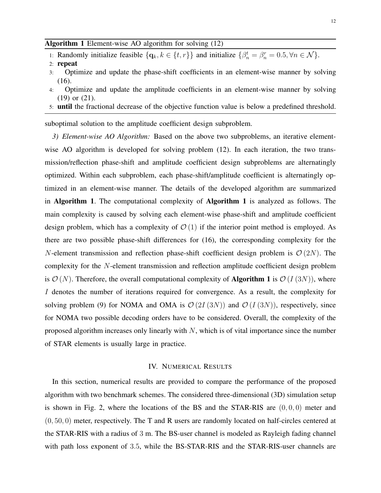## Algorithm 1 Element-wise AO algorithm for solving (12)

1: Randomly initialize feasible  $\{q_k, k \in \{t, r\}\}\$ and initialize  $\{\beta_n^t = \beta_n^r = 0.5, \forall n \in \mathcal{N}\}\$ .

- 3: Optimize and update the phase-shift coefficients in an element-wise manner by solving (16).
- 4: Optimize and update the amplitude coefficients in an element-wise manner by solving (19) or (21).
- 5: until the fractional decrease of the objective function value is below a predefined threshold.

suboptimal solution to the amplitude coefficient design subproblem.

*3) Element-wise AO Algorithm:* Based on the above two subproblems, an iterative elementwise AO algorithm is developed for solving problem (12). In each iteration, the two transmission/reflection phase-shift and amplitude coefficient design subproblems are alternatingly optimized. Within each subproblem, each phase-shift/amplitude coefficient is alternatingly optimized in an element-wise manner. The details of the developed algorithm are summarized in Algorithm 1. The computational complexity of Algorithm 1 is analyzed as follows. The main complexity is caused by solving each element-wise phase-shift and amplitude coefficient design problem, which has a complexity of  $\mathcal{O}(1)$  if the interior point method is employed. As there are two possible phase-shift differences for (16), the corresponding complexity for the N-element transmission and reflection phase-shift coefficient design problem is  $\mathcal{O}(2N)$ . The complexity for the N-element transmission and reflection amplitude coefficient design problem is  $\mathcal{O}(N)$ . Therefore, the overall computational complexity of **Algorithm 1** is  $\mathcal{O}(I(3N))$ , where I denotes the number of iterations required for convergence. As a result, the complexity for solving problem (9) for NOMA and OMA is  $\mathcal{O}(2I(3N))$  and  $\mathcal{O}(I(3N))$ , respectively, since for NOMA two possible decoding orders have to be considered. Overall, the complexity of the proposed algorithm increases only linearly with  $N$ , which is of vital importance since the number of STAR elements is usually large in practice.

## IV. NUMERICAL RESULTS

In this section, numerical results are provided to compare the performance of the proposed algorithm with two benchmark schemes. The considered three-dimensional (3D) simulation setup is shown in Fig. 2, where the locations of the BS and the STAR-RIS are  $(0, 0, 0)$  meter and (0, 50, 0) meter, respectively. The T and R users are randomly located on half-circles centered at the STAR-RIS with a radius of 3 m. The BS-user channel is modeled as Rayleigh fading channel with path loss exponent of 3.5, while the BS-STAR-RIS and the STAR-RIS-user channels are

<sup>2:</sup> repeat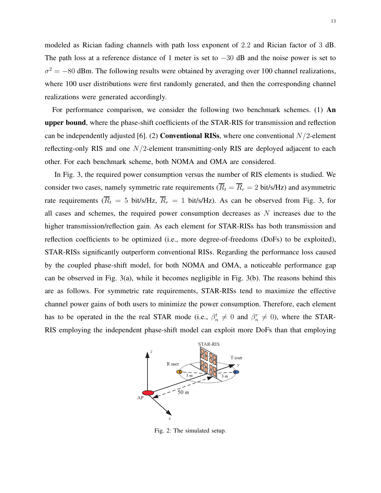modeled as Rician fading channels with path loss exponent of 2.2 and Rician factor of 3 dB. The path loss at a reference distance of 1 meter is set to −30 dB and the noise power is set to  $\sigma^2 = -80$  dBm. The following results were obtained by averaging over 100 channel realizations, where 100 user distributions were first randomly generated, and then the corresponding channel realizations were generated accordingly.

For performance comparison, we consider the following two benchmark schemes. (1) An upper bound, where the phase-shift coefficients of the STAR-RIS for transmission and reflection can be independently adjusted [6]. (2) **Conventional RISs**, where one conventional  $N/2$ -element reflecting-only RIS and one  $N/2$ -element transmitting-only RIS are deployed adjacent to each other. For each benchmark scheme, both NOMA and OMA are considered.

In Fig. 3, the required power consumption versus the number of RIS elements is studied. We consider two cases, namely symmetric rate requirements  $(\overline{R}_t = \overline{R}_r = 2 \text{ bit/s/Hz})$  and asymmetric rate requirements ( $\overline{R}_t = 5$  bit/s/Hz,  $\overline{R}_r = 1$  bit/s/Hz). As can be observed from Fig. 3, for all cases and schemes, the required power consumption decreases as  $N$  increases due to the higher transmission/reflection gain. As each element for STAR-RISs has both transmission and reflection coefficients to be optimized (i.e., more degree-of-freedoms (DoFs) to be exploited), STAR-RISs significantly outperform conventional RISs. Regarding the performance loss caused by the coupled phase-shift model, for both NOMA and OMA, a noticeable performance gap can be observed in Fig. 3(a), while it becomes negligible in Fig. 3(b). The reasons behind this are as follows. For symmetric rate requirements, STAR-RISs tend to maximize the effective channel power gains of both users to minimize the power consumption. Therefore, each element has to be operated in the the real STAR mode (i.e.,  $\beta_n^t \neq 0$  and  $\beta_n^r \neq 0$ ), where the STAR-RIS employing the independent phase-shift model can exploit more DoFs than that employing



Fig. 2: The simulated setup.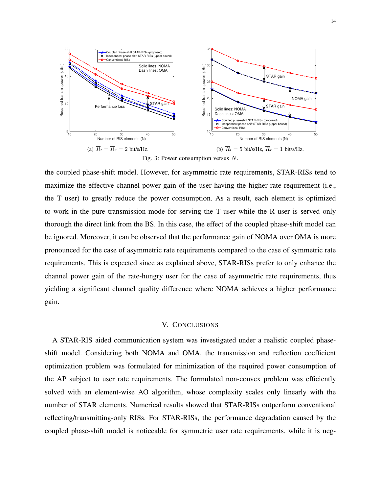

the coupled phase-shift model. However, for asymmetric rate requirements, STAR-RISs tend to maximize the effective channel power gain of the user having the higher rate requirement (i.e., the T user) to greatly reduce the power consumption. As a result, each element is optimized to work in the pure transmission mode for serving the T user while the R user is served only thorough the direct link from the BS. In this case, the effect of the coupled phase-shift model can be ignored. Moreover, it can be observed that the performance gain of NOMA over OMA is more pronounced for the case of asymmetric rate requirements compared to the case of symmetric rate requirements. This is expected since as explained above, STAR-RISs prefer to only enhance the channel power gain of the rate-hungry user for the case of asymmetric rate requirements, thus yielding a significant channel quality difference where NOMA achieves a higher performance gain.

## V. CONCLUSIONS

A STAR-RIS aided communication system was investigated under a realistic coupled phaseshift model. Considering both NOMA and OMA, the transmission and reflection coefficient optimization problem was formulated for minimization of the required power consumption of the AP subject to user rate requirements. The formulated non-convex problem was efficiently solved with an element-wise AO algorithm, whose complexity scales only linearly with the number of STAR elements. Numerical results showed that STAR-RISs outperform conventional reflecting/transmitting-only RISs. For STAR-RISs, the performance degradation caused by the coupled phase-shift model is noticeable for symmetric user rate requirements, while it is neg